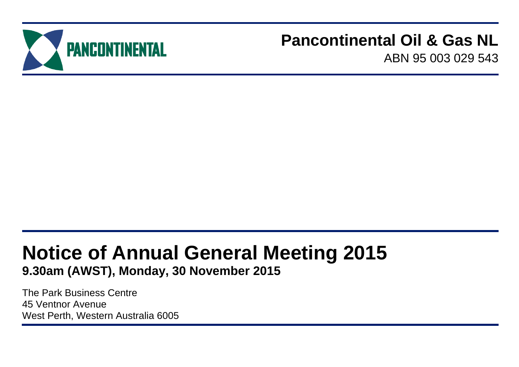

## **Pancontinental Oil & Gas NL**

ABN 95 003 029 543

# **Notice of Annual General Meeting 2015**

**9.30am (AWST), Monday, 30 November 2015**

The Park Business Centre 45 Ventnor Avenue West Perth, Western Australia 6005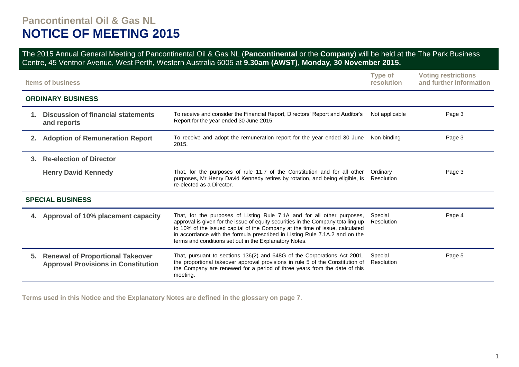## **Pancontinental Oil & Gas NL NOTICE OF MEETING 2015**

The 2015 Annual General Meeting of Pancontinental Oil & Gas NL (**Pancontinental** or the **Company**) will be held at the The Park Business Centre, 45 Ventnor Avenue, West Perth, Western Australia 6005 at **9.30am (AWST)**, **Monday**, **30 November 2015.**

|                | <b>Items of business</b>                                                              |                                                                                                                                                                                                                                                                                                                                                                                      | <b>Type of</b><br>resolution | <b>Voting restrictions</b><br>and further information |
|----------------|---------------------------------------------------------------------------------------|--------------------------------------------------------------------------------------------------------------------------------------------------------------------------------------------------------------------------------------------------------------------------------------------------------------------------------------------------------------------------------------|------------------------------|-------------------------------------------------------|
|                | <b>ORDINARY BUSINESS</b>                                                              |                                                                                                                                                                                                                                                                                                                                                                                      |                              |                                                       |
| $1_{-}$        | <b>Discussion of financial statements</b><br>and reports                              | To receive and consider the Financial Report, Directors' Report and Auditor's<br>Report for the year ended 30 June 2015.                                                                                                                                                                                                                                                             | Not applicable               | Page 3                                                |
| 2 <sub>1</sub> | <b>Adoption of Remuneration Report</b>                                                | To receive and adopt the remuneration report for the year ended 30 June<br>2015.                                                                                                                                                                                                                                                                                                     | Non-binding                  | Page 3                                                |
| 3.             | <b>Re-election of Director</b>                                                        |                                                                                                                                                                                                                                                                                                                                                                                      |                              |                                                       |
|                | <b>Henry David Kennedy</b>                                                            | That, for the purposes of rule 11.7 of the Constitution and for all other<br>purposes, Mr Henry David Kennedy retires by rotation, and being eligible, is<br>re-elected as a Director.                                                                                                                                                                                               | Ordinary<br>Resolution       | Page 3                                                |
|                | <b>SPECIAL BUSINESS</b>                                                               |                                                                                                                                                                                                                                                                                                                                                                                      |                              |                                                       |
| 4.             | Approval of 10% placement capacity                                                    | That, for the purposes of Listing Rule 7.1A and for all other purposes,<br>approval is given for the issue of equity securities in the Company totalling up<br>to 10% of the issued capital of the Company at the time of issue, calculated<br>in accordance with the formula prescribed in Listing Rule 7.1A.2 and on the<br>terms and conditions set out in the Explanatory Notes. | Special<br>Resolution        | Page 4                                                |
| 5.             | <b>Renewal of Proportional Takeover</b><br><b>Approval Provisions in Constitution</b> | That, pursuant to sections 136(2) and 648G of the Corporations Act 2001,<br>the proportional takeover approval provisions in rule 5 of the Constitution of<br>the Company are renewed for a period of three years from the date of this<br>meeting.                                                                                                                                  | Special<br>Resolution        | Page 5                                                |

**Terms used in this Notice and the Explanatory Notes are defined in the glossary on page 7.**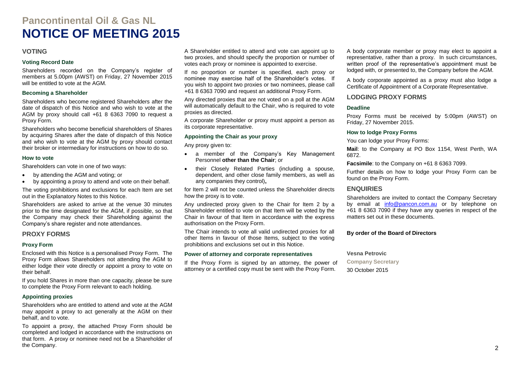## **Pancontinental Oil & Gas NL NOTICE OF MEETING 2015**

#### **VOTING**

#### **Voting Record Date**

Shareholders recorded on the Company's register of members at 5.00pm (AWST) on Friday, 27 November 2015 will be entitled to vote at the AGM.

#### **Becoming a Shareholder**

Shareholders who become registered Shareholders after the date of dispatch of this Notice and who wish to vote at the AGM by proxy should call +61 8 6363 7090 to request a Proxy Form.

Shareholders who become beneficial shareholders of Shares by acquiring Shares after the date of dispatch of this Notice and who wish to vote at the AGM by proxy should contact their broker or intermediary for instructions on how to do so.

#### **How to vote**

Shareholders can vote in one of two ways:

- by attending the AGM and voting; or
- by appointing a proxy to attend and vote on their behalf.

The voting prohibitions and exclusions for each Item are set out in the Explanatory Notes to this Notice.

Shareholders are asked to arrive at the venue 30 minutes prior to the time designated for the AGM, if possible, so that the Company may check their Shareholding against the Company's share register and note attendances.

#### **PROXY FORMS**

#### **Proxy Form**

Enclosed with this Notice is a personalised Proxy Form. The Proxy Form allows Shareholders not attending the AGM to either lodge their vote directly or appoint a proxy to vote on their behalf.

If you hold Shares in more than one capacity, please be sure to complete the Proxy Form relevant to each holding.

#### **Appointing proxies**

Shareholders who are entitled to attend and vote at the AGM may appoint a proxy to act generally at the AGM on their behalf, and to vote.

To appoint a proxy, the attached Proxy Form should be completed and lodged in accordance with the instructions on that form. A proxy or nominee need not be a Shareholder of the Company.

A Shareholder entitled to attend and vote can appoint up to two proxies, and should specify the proportion or number of votes each proxy or nominee is appointed to exercise.

If no proportion or number is specified, each proxy or nominee may exercise half of the Shareholder's votes. If you wish to appoint two proxies or two nominees, please call +61 8 6363 7090 and request an additional Proxy Form.

Any directed proxies that are not voted on a poll at the AGM will automatically default to the Chair, who is required to vote proxies as directed.

A corporate Shareholder or proxy must appoint a person as its corporate representative.

#### **Appointing the Chair as your proxy**

Any proxy given to:

- a member of the Company's Key Management Personnel **other than the Chair**; or
- their Closely Related Parties (including a spouse, dependent, and other close family members, as well as any companies they control)**,**

for Item 2 will not be counted unless the Shareholder directs how the proxy is to vote.

Any undirected proxy given to the Chair for Item 2 by a Shareholder entitled to vote on that Item will be voted by the Chair in favour of that Item in accordance with the express authorisation on the Proxy Form.

The Chair intends to vote all valid undirected proxies for all other Items in favour of those Items, subject to the voting prohibitions and exclusions set out in this Notice.

#### **Power of attorney and corporate representatives**

If the Proxy Form is signed by an attorney, the power of attorney or a certified copy must be sent with the Proxy Form.

A body corporate member or proxy may elect to appoint a representative, rather than a proxy. In such circumstances, written proof of the representative's appointment must be lodged with, or presented to, the Company before the AGM.

A body corporate appointed as a proxy must also lodge a Certificate of Appointment of a Corporate Representative.

#### **LODGING PROXY FORMS**

#### **Deadline**

Proxy Forms must be received by 5:00pm (AWST) on Friday, 27 November 2015.

#### **How to lodge Proxy Forms**

You can lodge your Proxy Forms:

**Mail**: to the Company at PO Box 1154, West Perth, WA 6872.

**Facsimile**: to the Company on +61 8 6363 7099.

Further details on how to lodge your Proxy Form can be found on the Proxy Form.

#### **ENQUIRIES**

Shareholders are invited to contact the Company Secretary by email at [info@pancon.com.au](mailto:info@pancon.com.au) or by telephone on +61 8 6363 7090 if they have any queries in respect of the matters set out in these documents.

#### **By order of the Board of Directors**

#### **Vesna Petrovic**

**Company Secretary** 30 October 2015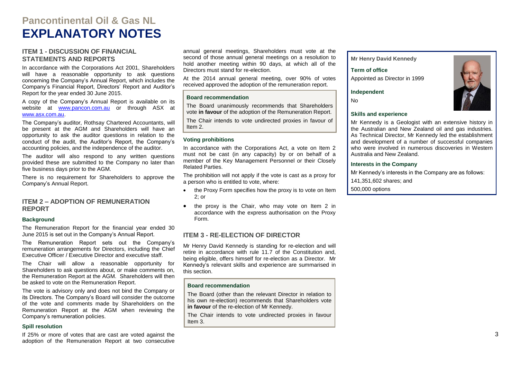## **Pancontinental Oil & Gas NL EXPLANATORY NOTES**

#### **ITEM 1 - DISCUSSION OF FINANCIAL STATEMENTS AND REPORTS**

In accordance with the Corporations Act 2001, Shareholders will have a reasonable opportunity to ask questions concerning the Company's Annual Report, which includes the Company's Financial Report, Directors' Report and Auditor's Report for the year ended 30 June 2015.

A copy of the Company's Annual Report is available on its website at [www.pancon.com.au](http://www.pancon.com.au/) or through ASX at [www.asx.com.au.](http://www.asx.com.au/)

The Company's auditor, Rothsay Chartered Accountants, will be present at the AGM and Shareholders will have an opportunity to ask the auditor questions in relation to the conduct of the audit, the Auditor's Report, the Company's accounting policies, and the independence of the auditor.

The auditor will also respond to any written questions provided these are submitted to the Company no later than five business days prior to the AGM.

There is no requirement for Shareholders to approve the Company's Annual Report.

#### **ITEM 2 – ADOPTION OF REMUNERATION REPORT**

#### **Background**

The Remuneration Report for the financial year ended 30 June 2015 is set out in the Company's Annual Report.

The Remuneration Report sets out the Company's remuneration arrangements for Directors, including the Chief Executive Officer / Executive Director and executive staff.

The Chair will allow a reasonable opportunity for Shareholders to ask questions about, or make comments on, the Remuneration Report at the AGM. Shareholders will then be asked to vote on the Remuneration Report.

The vote is advisory only and does not bind the Company or its Directors. The Company's Board will consider the outcome of the vote and comments made by Shareholders on the Remuneration Report at the AGM when reviewing the Company's remuneration policies.

#### **Spill resolution**

If 25% or more of votes that are cast are voted against the adoption of the Remuneration Report at two consecutive

annual general meetings, Shareholders must vote at the second of those annual general meetings on a resolution to hold another meeting within 90 days, at which all of the Directors must stand for re-election.

At the 2014 annual general meeting, over 90% of votes received approved the adoption of the remuneration report.

#### **Board recommendation**

The Board unanimously recommends that Shareholders vote **in favour** of the adoption of the Remuneration Report.

The Chair intends to vote undirected proxies in favour of Item 2.

#### **Voting prohibitions**

In accordance with the Corporations Act, a vote on Item 2 must not be cast (in any capacity) by or on behalf of a member of the Key Management Personnel or their Closely Related Parties.

The prohibition will not apply if the vote is cast as a proxy for a person who is entitled to vote, where:

- the Proxy Form specifies how the proxy is to vote on Item 2; or
- the proxy is the Chair, who may vote on Item 2 in accordance with the express authorisation on the Proxy Form.

#### **ITEM 3 - RE-ELECTION OF DIRECTOR**

Mr Henry David Kennedy is standing for re-election and will retire in accordance with rule 11.7 of the Constitution and, being eligible, offers himself for re-election as a Director. Mr Kennedy's relevant skills and experience are summarised in this section.

#### **Board recommendation**

The Board (other than the relevant Director in relation to his own re-election) recommends that Shareholders vote **in favour** of the re-election of Mr Kennedy.

The Chair intends to vote undirected proxies in favour Item 3.

**Mr Henry David Kennedy** 

**Term of office** Appointed as Director in 1999

**Independent**

No

#### **Skills and experience**

Mr Kennedy is a Geologist with an extensive history in the Australian and New Zealand oil and gas industries. As Technical Director, Mr Kennedy led the establishment and development of a number of successful companies who were involved in numerous discoveries in Western Australia and New Zealand.

#### **Interests in the Company**

Mr Kennedy's interests in the Company are as follows:

141,351,602 shares; and

500,000 options

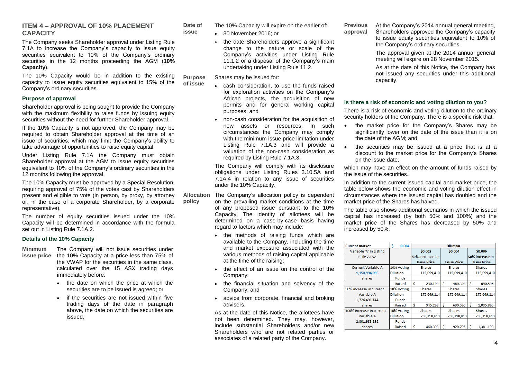#### **ITEM 4 – APPROVAL OF 10% PLACEMENT CAPACITY**

The Company seeks Shareholder approval under Listing Rule 7.1A to increase the Company's capacity to issue equity securities equivalent to 10% of the Company's ordinary securities in the 12 months proceeding the AGM (**10% Capacity**).

The 10% Capacity would be in addition to the existing capacity to issue equity securities equivalent to 15% of the Company's ordinary securities. **of issue**

#### **Purpose of approval**

Shareholder approval is being sought to provide the Company with the maximum flexibility to raise funds by issuing equity securities without the need for further Shareholder approval.

If the 10% Capacity is not approved, the Company may be required to obtain Shareholder approval at the time of an issue of securities, which may limit the Company's ability to take advantage of opportunities to raise equity capital.

Under Listing Rule 7.1A the Company must obtain Shareholder approval at the AGM to issue equity securities equivalent to 10% of the Company's ordinary securities in the 12 months following the approval.

The 10% Capacity must be approved by a Special Resolution, requiring approval of 75% of the votes cast by Shareholders present and eligible to vote (in person, by proxy, by attorney or, in the case of a corporate Shareholder, by a corporate representative).

The number of equity securities issued under the 10% Capacity will be determined in accordance with the formula set out in Listing Rule 7.1A.2.

#### **Details of the 10% Capacity**

- **Minimum**
- **issue price** the 10% Capacity at a price less than 75% of The Company will not issue securities under the VWAP for the securities in the same class, calculated over the 15 ASX trading days immediately before:
	- the date on which the price at which the securities are to be issued is agreed; or
	- if the securities are not issued within five trading days of the date in paragraph above, the date on which the securities are issued.

**Date of**  The 10% Capacity will expire on the earlier of:

30 November 2016; or

**issue**

• the date Shareholders approve a significant change to the nature or scale of the Company's activities under Listing Rule 11.1.2 or a disposal of the Company's main undertaking under Listing Rule 11.2.

**Purpose**  Shares may be issued for:

- cash consideration, to use the funds raised for exploration activities on the Company's African projects, the acquisition of new permits and for general working capital purposes; and
- non-cash consideration for the acquisition of new assets or resources. In such circumstances the Company may comply with the minimum issue price limitation under Listing Rule 7.1A.3 and will provide a valuation of the non-cash consideration as required by Listing Rule 7.1A.3.

The Company will comply with its disclosure obligations under Listing Rules 3.10.5A and 7.1A.4 in relation to any issue of securities under the 10% Capacity.

- **Allocation policy** The Company's allocation policy is dependent on the prevailing market conditions at the time of any proposed issue pursuant to the 10% Capacity. The identity of allottees will be determined on a case-by-case basis having regard to factors which may include:
	- the methods of raising funds which are available to the Company, including the time and market exposure associated with the various methods of raising capital applicable at the time of the raising;
	- the effect of an issue on the control of the Company;
	- the financial situation and solvency of the Company; and
	- advice from corporate, financial and broking advisers.

As at the date of this Notice, the allottees have not been determined. They may, however, include substantial Shareholders and/or new Shareholders who are not related parties or associates of a related party of the Company.

**Previous approval** At the Company's 2014 annual general meeting, Shareholders approved the Company's capacity to issue equity securities equivalent to 10% of

the Company's ordinary securities.

The approval given at the 2014 annual general meeting will expire on 28 November 2015.

As at the date of this Notice, the Company has not issued any securities under this additional capacity.

#### **Is there a risk of economic and voting dilution to you?**

There is a risk of economic and voting dilution to the ordinary security holders of the Company. There is a specific risk that:

- the market price for the Company's Shares may be significantly lower on the date of the issue than it is on the date of the AGM; and
- the securities may be issued at a price that is at a discount to the market price for the Company's Shares on the issue date,

which may have an effect on the amount of funds raised by the issue of the securities.

In addition to the current issued capital and market price, the table below shows the economic and voting dilution effect in circumstances where the issued capital has doubled and the market price of the Shares has halved.

The table also shows additional scenarios in which the issued capital has increased (by both 50% and 100%) and the market price of the Shares has decreased by 50% and increased by 50%.

| <b>Current market</b>     | Ś<br>0.004      |    |                    |    | <b>Dilution</b>    |   |                    |
|---------------------------|-----------------|----|--------------------|----|--------------------|---|--------------------|
| Variable 'A' in Listing   |                 |    | \$0.002            |    | \$0.004            |   | \$0.006            |
| <b>Rule 7.1A2</b>         |                 |    | 50% decrease in    |    |                    |   | 50% increase in    |
|                           |                 |    | <b>Issue Price</b> |    | <b>Issue Price</b> |   | <b>Issue Price</b> |
| <b>Current Variable A</b> | 10% Voting      |    | <b>Shares</b>      |    | <b>Shares</b>      |   | <b>Shares</b>      |
| 1.150.994.096             | <b>Dilution</b> |    | 115.099.410        |    | 115.099.410        |   | 115.099.410        |
| shares                    | <b>Funds</b>    |    |                    |    |                    |   |                    |
|                           | Raised          | \$ | 230,199            | Ś  | 460,398            | Ś | 690,596            |
| 50% increase in current   | 10% Voting      |    | <b>Shares</b>      |    | <b>Shares</b>      |   | <b>Shares</b>      |
| Variable A                | <b>Dilution</b> |    | 172,649,114        |    | 172,649,114        |   | 172,649,114        |
| 1,726,491,144             | <b>Funds</b>    |    |                    |    |                    |   |                    |
| shares                    | Raised          | \$ | 345,298            | \$ | 690.596            | Ś | 1,035,895          |
| 100% increase in current  | 10% Voting      |    | <b>Shares</b>      |    | <b>Shares</b>      |   | <b>Shares</b>      |
| Variable A                | <b>Dilution</b> |    | 230,198,819        |    | 230,198,819        |   | 230,198,819        |
| 2,301,988,192             | <b>Funds</b>    |    |                    |    |                    |   |                    |
| shares                    | Raised          | Ś  | 460,398            | Ś  | 920,795            | Ś | 1,381,193          |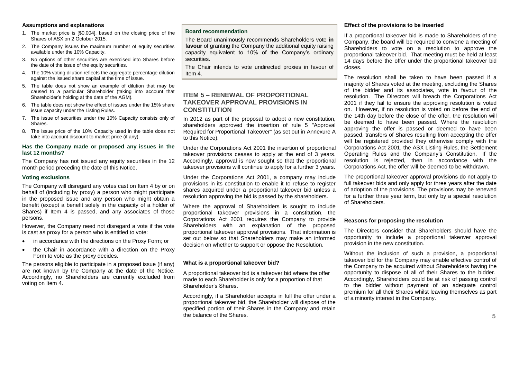#### **Assumptions and explanations**

- 1. The market price is [\$0.004], based on the closing price of the Shares of ASX on 2 October 2015.
- 2. The Company issues the maximum number of equity securities available under the 10% Capacity.
- 3. No options of other securities are exercised into Shares before the date of the issue of the equity securities.
- 4. The 10% voting dilution reflects the aggregate percentage dilution against the issued share capital at the time of issue.
- 5. The table does not show an example of dilution that may be caused to a particular Shareholder (taking into account that Shareholder's holding at the date of the AGM).
- 6. The table does not show the effect of issues under the 15% share issue capacity under the Listing Rules.
- 7. The issue of securities under the 10% Capacity consists only of Shares.
- 8. The issue price of the 10% Capacity used in the table does not take into account discount to market price (if any).

#### **Has the Company made or proposed any issues in the last 12 months?**

The Company has not issued any equity securities in the 12 month period preceding the date of this Notice.

#### **Voting exclusions**

The Company will disregard any votes cast on Item 4 by or on behalf of (including by proxy) a person who might participate in the proposed issue and any person who might obtain a benefit (except a benefit solely in the capacity of a holder of Shares) if Item 4 is passed, and any associates of those persons.

However, the Company need not disregard a vote if the vote is cast as proxy for a person who is entitled to vote:

- in accordance with the directions on the Proxy Form; or
- the Chair in accordance with a direction on the Proxy Form to vote as the proxy decides.

The persons eligible to participate in a proposed issue (if any) are not known by the Company at the date of the Notice. Accordingly, no Shareholders are currently excluded from voting on Item 4.

#### **Board recommendation**

The Board unanimously recommends Shareholders vote **in favour** of granting the Company the additional equity raising capacity equivalent to 10% of the Company's ordinary securities.

The Chair intends to vote undirected proxies in favour of Item 4.

#### **ITEM 5 – RENEWAL OF PROPORTIONAL TAKEOVER APPROVAL PROVISIONS IN CONSTITUTION**

In 2012 as part of the proposal to adopt a new constitution, shareholders approved the insertion of rule 5 "Approval Required for Proportional Takeover" (as set out in Annexure A to this Notice).

Under the Corporations Act 2001 the insertion of proportional takeover provisions ceases to apply at the end of 3 years. Accordingly, approval is now sought so that the proportional takeover provisions will continue to apply for a further 3 years.

Under the Corporations Act 2001, a company may include provisions in its constitution to enable it to refuse to register shares acquired under a proportional takeover bid unless a resolution approving the bid is passed by the shareholders.

Where the approval of Shareholders is sought to include proportional takeover provisions in a constitution, the Corporations Act 2001 requires the Company to provide Shareholders with an explanation of the proposed proportional takeover approval provisions. That information is set out below so that Shareholders may make an informed decision on whether to support or oppose the Resolution.

#### **What is a proportional takeover bid?**

A proportional takeover bid is a takeover bid where the offer made to each Shareholder is only for a proportion of that Shareholder's Shares.

Accordingly, if a Shareholder accepts in full the offer under a proportional takeover bid, the Shareholder will dispose of the specified portion of their Shares in the Company and retain the balance of the Shares.

#### **Effect of the provisions to be inserted**

If a proportional takeover bid is made to Shareholders of the Company, the board will be required to convene a meeting of Shareholders to vote on a resolution to approve the proportional takeover bid. That meeting must be held at least 14 days before the offer under the proportional takeover bid closes.

The resolution shall be taken to have been passed if a majority of Shares voted at the meeting, excluding the Shares of the bidder and its associates, vote in favour of the resolution. The Directors will breach the Corporations Act 2001 if they fail to ensure the approving resolution is voted on. However, if no resolution is voted on before the end of the 14th day before the close of the offer, the resolution will be deemed to have been passed. Where the resolution approving the offer is passed or deemed to have been passed, transfers of Shares resulting from accepting the offer will be registered provided they otherwise comply with the Corporations Act 2001, the ASX Listing Rules, the Settlement Operating Rules and the Company's Constitution. If the resolution is rejected, then in accordance with the Corporations Act, the offer will be deemed to be withdrawn.

The proportional takeover approval provisions do not apply to full takeover bids and only apply for three years after the date of adoption of the provisions. The provisions may be renewed for a further three year term, but only by a special resolution of Shareholders.

#### **Reasons for proposing the resolution**

The Directors consider that Shareholders should have the opportunity to include a proportional takeover approval provision in the new constitution.

Without the inclusion of such a provision, a proportional takeover bid for the Company may enable effective control of the Company to be acquired without Shareholders having the opportunity to dispose of all of their Shares to the bidder. Accordingly, Shareholders could be at risk of passing control to the bidder without payment of an adequate control premium for all their Shares whilst leaving themselves as part of a minority interest in the Company.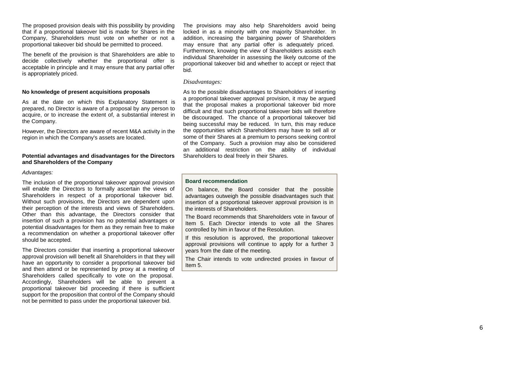The proposed provision deals with this possibility by providing that if a proportional takeover bid is made for Shares in the Company, Shareholders must vote on whether or not a proportional takeover bid should be permitted to proceed.

The benefit of the provision is that Shareholders are able to decide collectively whether the proportional offer is acceptable in principle and it may ensure that any partial offer is appropriately priced.

#### **No knowledge of present acquisitions proposals**

As at the date on which this Explanatory Statement is prepared, no Director is aware of a proposal by any person to acquire, or to increase the extent of, a substantial interest in the Company.

However, the Directors are aware of recent M&A activity in the region in which the Company's assets are located.

#### **Potential advantages and disadvantages for the Directors and Shareholders of the Company**

#### *Advantages:*

The inclusion of the proportional takeover approval provision will enable the Directors to formally ascertain the views of Shareholders in respect of a proportional takeover bid. Without such provisions, the Directors are dependent upon their perception of the interests and views of Shareholders. Other than this advantage, the Directors consider that insertion of such a provision has no potential advantages or potential disadvantages for them as they remain free to make a recommendation on whether a proportional takeover offer should be accepted.

The Directors consider that inserting a proportional takeover approval provision will benefit all Shareholders in that they will have an opportunity to consider a proportional takeover bid and then attend or be represented by proxy at a meeting of Shareholders called specifically to vote on the proposal. Accordingly, Shareholders will be able to prevent a proportional takeover bid proceeding if there is sufficient support for the proposition that control of the Company should not be permitted to pass under the proportional takeover bid.

The provisions may also help Shareholders avoid being locked in as a minority with one majority Shareholder. In addition, increasing the bargaining power of Shareholders may ensure that any partial offer is adequately priced. Furthermore, knowing the view of Shareholders assists each individual Shareholder in assessing the likely outcome of the proportional takeover bid and whether to accept or reject that bid.

#### *Disadvantages:*

As to the possible disadvantages to Shareholders of inserting a proportional takeover approval provision, it may be argued that the proposal makes a proportional takeover bid more difficult and that such proportional takeover bids will therefore be discouraged. The chance of a proportional takeover bid being successful may be reduced. In turn, this may reduce the opportunities which Shareholders may have to sell all or some of their Shares at a premium to persons seeking control of the Company. Such a provision may also be considered an additional restriction on the ability of individual Shareholders to deal freely in their Shares.

#### **Board recommendation**

On balance, the Board consider that the possible advantages outweigh the possible disadvantages such that insertion of a proportional takeover approval provision is in the interests of Shareholders.

The Board recommends that Shareholders vote in favour of Item 5. Each Director intends to vote all the Shares controlled by him in favour of the Resolution.

If this resolution is approved, the proportional takeover approval provisions will continue to apply for a further 3 years from the date of the meeting.

The Chair intends to vote undirected proxies in favour of Item 5 .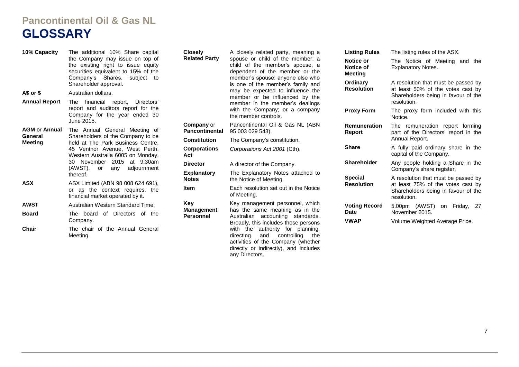## **Pancontinental Oil & Gas NL GLOSSARY**

| 10% Capacity              | The additional 10% Share capital<br>the Company may issue on top of<br>the existing right to issue equity<br>securities equivalent to 15% of the<br>Company's Shares, subject to                                                                                     | <b>Closely</b><br><b>Related Party</b>     | A closely related party, meaning a<br>spouse or child of the member; a<br>child of the member's spouse, a<br>dependent of the member or the<br>member's spouse; anyone else who | <b>Listing Rules</b><br>Notice or<br>Notice of<br><b>Meeting</b> | The listing rules of the ASX.<br>The Notice of Meeting and the<br><b>Explanatory Notes.</b>                     |
|---------------------------|----------------------------------------------------------------------------------------------------------------------------------------------------------------------------------------------------------------------------------------------------------------------|--------------------------------------------|---------------------------------------------------------------------------------------------------------------------------------------------------------------------------------|------------------------------------------------------------------|-----------------------------------------------------------------------------------------------------------------|
|                           | Shareholder approval.                                                                                                                                                                                                                                                |                                            | is one of the member's family and<br>may be expected to influence the<br>member or be influenced by the                                                                         | Ordinary<br><b>Resolution</b>                                    | A resolution that must be passed by<br>at least 50% of the votes cast by<br>Shareholders being in favour of the |
| A\$ or \$                 | Australian dollars.                                                                                                                                                                                                                                                  |                                            |                                                                                                                                                                                 |                                                                  |                                                                                                                 |
| <b>Annual Report</b>      | The financial report, Directors'<br>report and auditors report for the<br>Company for the year ended 30                                                                                                                                                              |                                            | member in the member's dealings<br>with the Company; or a company<br>the member controls.                                                                                       | <b>Proxy Form</b>                                                | resolution.<br>The proxy form included with this<br>Notice.                                                     |
| <b>AGM or Annual</b>      | June 2015.<br>The Annual General Meeting of<br>Shareholders of the Company to be<br>held at The Park Business Centre,<br>45 Ventnor Avenue, West Perth,<br>Western Australia 6005 on Monday,<br>30 November 2015 at 9.30am<br>(AWST), or any adjournment<br>thereof. | <b>Company</b> or<br><b>Pancontinental</b> | Pancontinental Oil & Gas NL (ABN<br>95 003 029 543).                                                                                                                            | <b>Remuneration</b><br>Report                                    | The remuneration report forming<br>part of the Directors' report in the                                         |
| General<br><b>Meeting</b> |                                                                                                                                                                                                                                                                      | <b>Constitution</b>                        | The Company's constitution.                                                                                                                                                     |                                                                  | Annual Report.                                                                                                  |
|                           |                                                                                                                                                                                                                                                                      | <b>Corporations</b><br>Act                 | Corporations Act 2001 (Cth).                                                                                                                                                    | <b>Share</b>                                                     | A fully paid ordinary share in the<br>capital of the Company.                                                   |
|                           |                                                                                                                                                                                                                                                                      | <b>Director</b>                            | A director of the Company.                                                                                                                                                      | <b>Shareholder</b>                                               | Any people holding a Share in the                                                                               |
|                           |                                                                                                                                                                                                                                                                      | <b>Explanatory</b><br><b>Notes</b>         | The Explanatory Notes attached to<br>the Notice of Meeting.                                                                                                                     | <b>Special</b>                                                   | Company's share register.<br>A resolution that must be passed by                                                |
| <b>ASX</b>                | ASX Limited (ABN 98 008 624 691),<br>or as the context requires, the<br>financial market operated by it.                                                                                                                                                             | <b>Item</b>                                | Each resolution set out in the Notice<br>of Meeting.                                                                                                                            | <b>Resolution</b>                                                | at least 75% of the votes cast by<br>Shareholders being in favour of the<br>resolution.                         |
| <b>AWST</b>               | Australian Western Standard Time.                                                                                                                                                                                                                                    | Key                                        | Key management personnel, which                                                                                                                                                 | <b>Voting Record</b>                                             | 5.00pm (AWST)<br>on Friday, 27                                                                                  |
| <b>Board</b>              | The board of Directors of the                                                                                                                                                                                                                                        | Management<br><b>Personnel</b>             | has the same meaning as in the<br>Australian accounting standards.                                                                                                              | <b>Date</b>                                                      | November 2015.                                                                                                  |
|                           | Company.                                                                                                                                                                                                                                                             |                                            | Broadly, this includes those persons                                                                                                                                            | <b>VWAP</b>                                                      | Volume Weighted Average Price.                                                                                  |
| Chair                     | The chair of the Annual General<br>Meeting.                                                                                                                                                                                                                          |                                            | authority for planning,<br>with the<br>controlling the<br>directing<br>and                                                                                                      |                                                                  |                                                                                                                 |

any Directors.

activities of the Company (whether directly or indirectly), and includes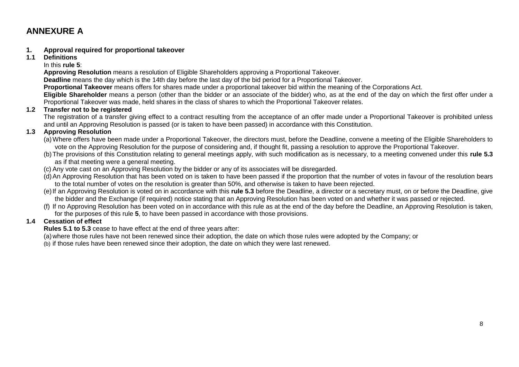### **ANNEXURE A**

#### **1. Approval required for proportional takeover**

**1.1 Definitions**

In this **rule 5**:

**Approving Resolution** means a resolution of Eligible Shareholders approving a Proportional Takeover.

**Deadline** means the day which is the 14th day before the last day of the bid period for a Proportional Takeover.

**Proportional Takeover** means offers for shares made under a proportional takeover bid within the meaning of the Corporations Act.

**Eligible Shareholder** means a person (other than the bidder or an associate of the bidder) who, as at the end of the day on which the first offer under a Proportional Takeover was made, held shares in the class of shares to which the Proportional Takeover relates.

#### **1.2 Transfer not to be registered**

The registration of a transfer giving effect to a contract resulting from the acceptance of an offer made under a Proportional Takeover is prohibited unless and until an Approving Resolution is passed (or is taken to have been passed) in accordance with this Constitution.

#### **1.3 Approving Resolution**

- (a)Where offers have been made under a Proportional Takeover, the directors must, before the Deadline, convene a meeting of the Eligible Shareholders to vote on the Approving Resolution for the purpose of considering and, if thought fit, passing a resolution to approve the Proportional Takeover.
- (b)The provisions of this Constitution relating to general meetings apply, with such modification as is necessary, to a meeting convened under this **rule 5.3** as if that meeting were a general meeting.
- (c) Any vote cast on an Approving Resolution by the bidder or any of its associates will be disregarded.
- (d)An Approving Resolution that has been voted on is taken to have been passed if the proportion that the number of votes in favour of the resolution bears to the total number of votes on the resolution is greater than 50%, and otherwise is taken to have been rejected.
- (e)If an Approving Resolution is voted on in accordance with this **rule 5.3** before the Deadline, a director or a secretary must, on or before the Deadline, give the bidder and the Exchange (if required) notice stating that an Approving Resolution has been voted on and whether it was passed or rejected.
- (f) If no Approving Resolution has been voted on in accordance with this rule as at the end of the day before the Deadline, an Approving Resolution is taken, for the purposes of this rule **5**, to have been passed in accordance with those provisions.

#### **1.4 Cessation of effect**

**Rules 5.1 to 5.3** cease to have effect at the end of three years after:

(a)where those rules have not been renewed since their adoption, the date on which those rules were adopted by the Company; or

(b) if those rules have been renewed since their adoption, the date on which they were last renewed.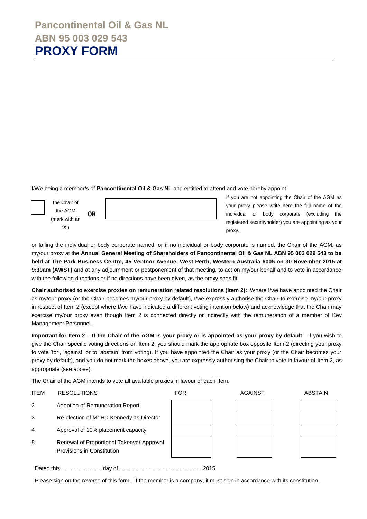I/We being a member/s of **Pancontinental Oil & Gas NL** and entitled to attend and vote hereby appoint



If you are not appointing the Chair of the AGM as your proxy please write here the full name of the individual or body corporate (excluding the registered securityholder) you are appointing as your proxy.

or failing the individual or body corporate named, or if no individual or body corporate is named, the Chair of the AGM, as my/our proxy at the **Annual General Meeting of Shareholders of Pancontinental Oil & Gas NL ABN 95 003 029 543 to be held at The Park Business Centre, 45 Ventnor Avenue, West Perth, Western Australia 6005 on 30 November 2015 at 9:30am (AWST)** and at any adjournment or postponement of that meeting, to act on my/our behalf and to vote in accordance with the following directions or if no directions have been given, as the proxy sees fit.

**Chair authorised to exercise proxies on remuneration related resolutions (Item 2):** Where I/we have appointed the Chair as my/our proxy (or the Chair becomes my/our proxy by default), I/we expressly authorise the Chair to exercise my/our proxy in respect of Item 2 (except where I/we have indicated a different voting intention below) and acknowledge that the Chair may exercise my/our proxy even though Item 2 is connected directly or indirectly with the remuneration of a member of Key Management Personnel.

**Important for Item 2 – If the Chair of the AGM is your proxy or is appointed as your proxy by default:** If you wish to give the Chair specific voting directions on Item 2, you should mark the appropriate box opposite Item 2 (directing your proxy to vote 'for', 'against' or to 'abstain' from voting). If you have appointed the Chair as your proxy (or the Chair becomes your proxy by default), and you do not mark the boxes above, you are expressly authorising the Chair to vote in favour of Item 2, as appropriate (see above).

The Chair of the AGM intends to vote all available proxies in favour of each Item.

| <b>ITEM</b> | <b>RESOLUTIONS</b>                                                      | <b>FOR</b> | <b>AGAINST</b> | <b>ABSTAIN</b> |
|-------------|-------------------------------------------------------------------------|------------|----------------|----------------|
| 2           | Adoption of Remuneration Report                                         |            |                |                |
| 3           | Re-election of Mr HD Kennedy as Director                                |            |                |                |
| 4           | Approval of 10% placement capacity                                      |            |                |                |
| 5           | Renewal of Proportional Takeover Approval<br>Provisions in Constitution |            |                |                |
|             |                                                                         | 2015       |                |                |

Please sign on the reverse of this form. If the member is a company, it must sign in accordance with its constitution.